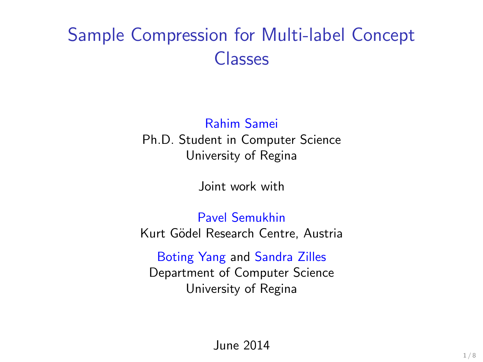## Sample Compression for Multi-label Concept Classes

#### Rahim Samei Ph.D. Student in Computer Science University of Regina

Joint work with

Pavel Semukhin Kurt Gödel Research Centre, Austria

Boting Yang and Sandra Zilles Department of Computer Science University of Regina

June 2014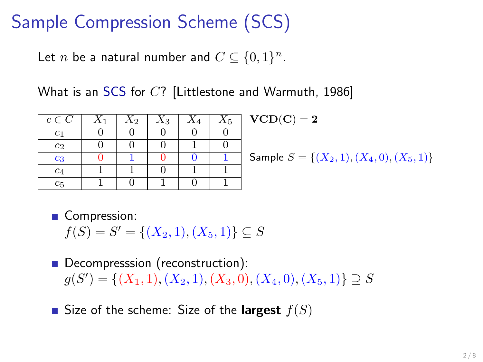## Sample Compression Scheme (SCS)

Let *n* be a natural number and  $C \subseteq \{0,1\}^n$ .

What is an SCS for C? [Littlestone and Warmuth, 1986]

| $c \in \overline{C}$ | $X_1$ | $X_2$ | $\scriptstyle X_3$ | $\scriptstyle A_5$ | V(  |
|----------------------|-------|-------|--------------------|--------------------|-----|
| $_{c_1}$             |       |       |                    |                    |     |
| $c_2$                |       |       |                    |                    |     |
| $c_3$                |       |       |                    |                    | Sai |
| c <sub>4</sub>       |       |       |                    |                    |     |
| $c_{\rm 5}$          |       |       |                    |                    |     |

 $\mathrm{CD}(\mathrm{C}) = 2$ 

mple  $S = \{(X_2, 1), (X_4, 0), (X_5, 1)\}$ 

**Compression:** 

 $f(S) = S' = \{(X_2, 1), (X_5, 1)\} \subseteq S$ 

Decompresssion (reconstruction):  $g(S') = \{(X_1, 1), (X_2, 1), (X_3, 0), (X_4, 0), (X_5, 1)\} \supseteq S$ 

Size of the scheme: Size of the **largest**  $f(S)$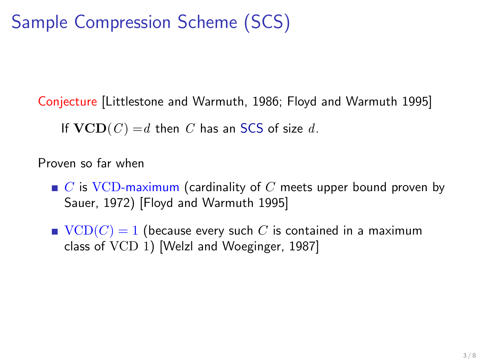# Sample Compression Scheme (SCS)

Conjecture [Littlestone and Warmuth, 1986; Floyd and Warmuth 1995]

If  $VCD(C) = d$  then C has an SCS of size d.

Proven so far when

- $\blacksquare$  C is VCD-maximum (cardinality of C meets upper bound proven by Sauer, 1972) [Floyd and Warmuth 1995]
- $\bullet$  VCD(C) = 1 (because every such C is contained in a maximum class of VCD 1) [Welzl and Woeginger, 1987]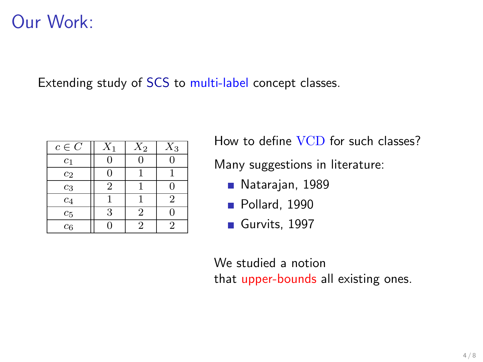#### Our Work:

Extending study of SCS to multi-label concept classes.

| $c \in C$      | $\scriptstyle X_1$ | $X_2$ | $X_3$          |
|----------------|--------------------|-------|----------------|
| $_{c_1}$       |                    |       |                |
| $c_2$          |                    |       |                |
| $c_3$          | 2                  |       |                |
| c <sub>4</sub> |                    |       | $\overline{2}$ |
| $c_5$          | 3                  | 2     |                |
| c <sub>6</sub> |                    | '2    | 2              |

How to define VCD for such classes?

Many suggestions in literature:

- Natarajan, 1989
- Pollard, 1990
- Gurvits, 1997

We studied a notion that upper-bounds all existing ones.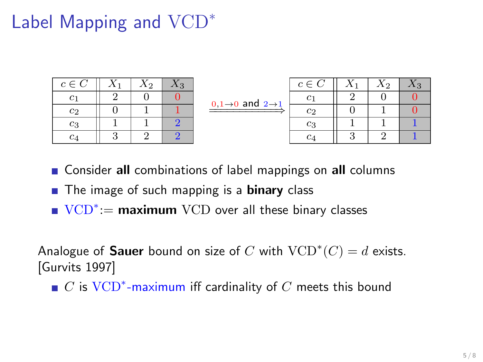# Label Mapping and VCD<sup>∗</sup>

| $c \in C$      |   | $\scriptstyle X_2$ |   |
|----------------|---|--------------------|---|
| $c_1$          | 2 | П                  |   |
| $c_2$          | Ш |                    |   |
| $_{c_3}$       |   |                    | 2 |
| c <sub>4</sub> |   |                    |   |

| $0.1\rightarrow 0$ and $2\rightarrow 1$ |
|-----------------------------------------|

| $c \in C$      | $\scriptstyle X_2$ | $\chi_{.3}$ |
|----------------|--------------------|-------------|
| $c_1$          |                    |             |
| $c_2$          |                    |             |
| $c_3$          |                    |             |
| c <sub>4</sub> | 2                  |             |

- **Consider all combinations of label mappings on all columns**
- The image of such mapping is a **binary** class
- VCD<sup>\*</sup>:= maximum VCD over all these binary classes

Analogue of **Sauer** bound on size of C with  $VCD^*(C) = d$  exists. [Gurvits 1997]

 $C$  is  $VCD^*$ -maximum iff cardinality of  $C$  meets this bound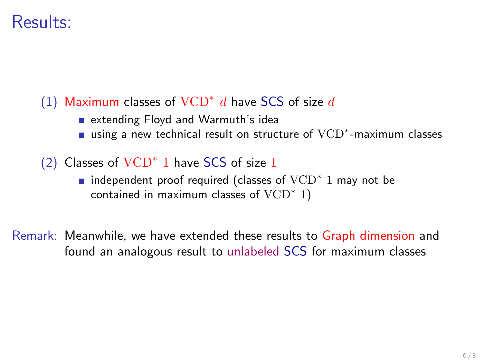#### Results:

#### (1) Maximum classes of  $VCD^*$  d have SCS of size d

- extending Floyd and Warmuth's idea
- using a new technical result on structure of VCD<sup>\*</sup>-maximum classes
- (2) Classes of VCD<sup>∗</sup> 1 have SCS of size 1
	- independent proof required (classes of  $\text{VCD}^*$  1 may not be contained in maximum classes of  $VCD^*$  1)

Remark: Meanwhile, we have extended these results to Graph dimension and found an analogous result to unlabeled SCS for maximum classes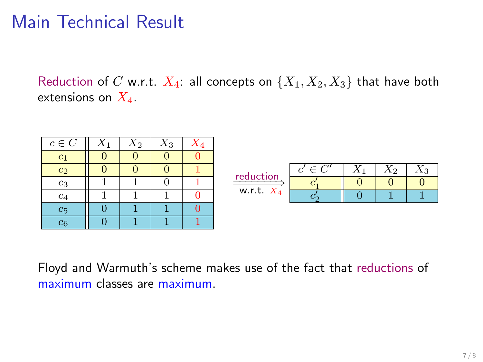## Main Technical Result

Reduction of C w.r.t.  $X_4$ : all concepts on  $\{X_1, X_2, X_3\}$  that have both extensions on  $X_4$ .

| $c \in C$          | $\Lambda$ 2 | $A_3$ |  |              |             |  |             |       |
|--------------------|-------------|-------|--|--------------|-------------|--|-------------|-------|
|                    |             |       |  |              |             |  |             |       |
| $c_2$              |             |       |  | reduction    | $c' \in C'$ |  | $\Lambda$ 2 | $A_3$ |
| $^{c_3}$           |             |       |  | -------      |             |  |             |       |
| C4                 |             |       |  | w.r.t. $X_4$ |             |  |             |       |
| $\scriptstyle c_5$ |             |       |  |              |             |  |             |       |
| $\scriptstyle c_6$ |             |       |  |              |             |  |             |       |

Floyd and Warmuth's scheme makes use of the fact that reductions of maximum classes are maximum.